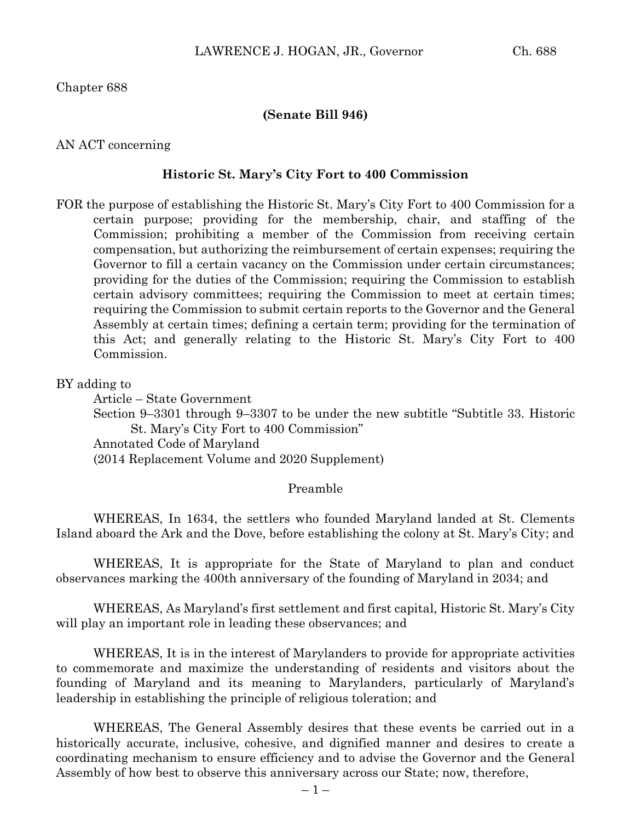Chapter 688

## **(Senate Bill 946)**

## AN ACT concerning

## **Historic St. Mary's City Fort to 400 Commission**

FOR the purpose of establishing the Historic St. Mary's City Fort to 400 Commission for a certain purpose; providing for the membership, chair, and staffing of the Commission; prohibiting a member of the Commission from receiving certain compensation, but authorizing the reimbursement of certain expenses; requiring the Governor to fill a certain vacancy on the Commission under certain circumstances; providing for the duties of the Commission; requiring the Commission to establish certain advisory committees; requiring the Commission to meet at certain times; requiring the Commission to submit certain reports to the Governor and the General Assembly at certain times; defining a certain term; providing for the termination of this Act; and generally relating to the Historic St. Mary's City Fort to 400 Commission.

## BY adding to

Article – State Government Section 9–3301 through 9–3307 to be under the new subtitle "Subtitle 33. Historic St. Mary's City Fort to 400 Commission"

Annotated Code of Maryland

(2014 Replacement Volume and 2020 Supplement)

## Preamble

WHEREAS, In 1634, the settlers who founded Maryland landed at St. Clements Island aboard the Ark and the Dove, before establishing the colony at St. Mary's City; and

WHEREAS, It is appropriate for the State of Maryland to plan and conduct observances marking the 400th anniversary of the founding of Maryland in 2034; and

WHEREAS, As Maryland's first settlement and first capital, Historic St. Mary's City will play an important role in leading these observances; and

WHEREAS, It is in the interest of Marylanders to provide for appropriate activities to commemorate and maximize the understanding of residents and visitors about the founding of Maryland and its meaning to Marylanders, particularly of Maryland's leadership in establishing the principle of religious toleration; and

WHEREAS, The General Assembly desires that these events be carried out in a historically accurate, inclusive, cohesive, and dignified manner and desires to create a coordinating mechanism to ensure efficiency and to advise the Governor and the General Assembly of how best to observe this anniversary across our State; now, therefore,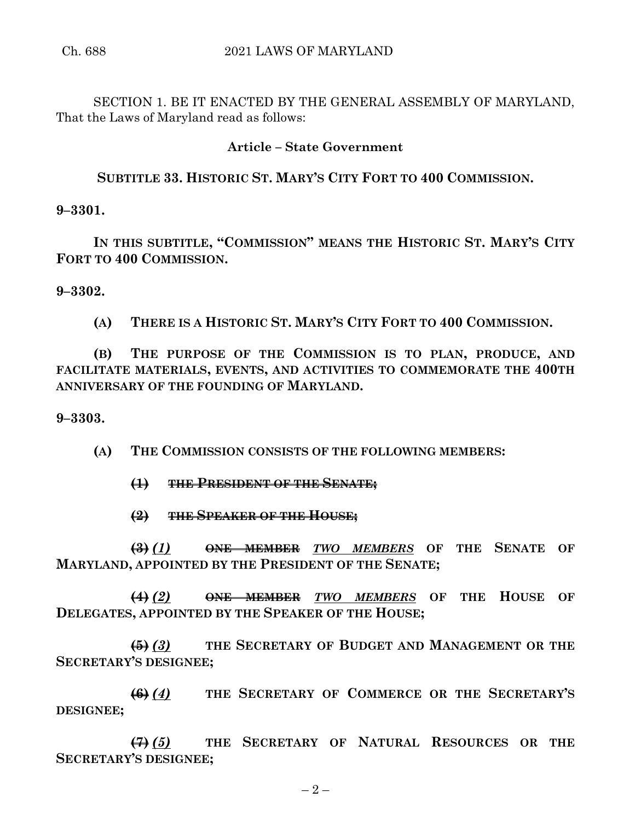SECTION 1. BE IT ENACTED BY THE GENERAL ASSEMBLY OF MARYLAND, That the Laws of Maryland read as follows:

# **Article – State Government**

# **SUBTITLE 33. HISTORIC ST. MARY'S CITY FORT TO 400 COMMISSION.**

**9–3301.**

**IN THIS SUBTITLE, "COMMISSION" MEANS THE HISTORIC ST. MARY'S CITY FORT TO 400 COMMISSION.**

**9–3302.**

**(A) THERE IS A HISTORIC ST. MARY'S CITY FORT TO 400 COMMISSION.**

**(B) THE PURPOSE OF THE COMMISSION IS TO PLAN, PRODUCE, AND FACILITATE MATERIALS, EVENTS, AND ACTIVITIES TO COMMEMORATE THE 400TH ANNIVERSARY OF THE FOUNDING OF MARYLAND.**

## **9–3303.**

**(A) THE COMMISSION CONSISTS OF THE FOLLOWING MEMBERS:**

- **(1) THE PRESIDENT OF THE SENATE;**
- **(2) THE SPEAKER OF THE HOUSE;**

**(3)** *(1)* **ONE MEMBER** *TWO MEMBERS* **OF THE SENATE OF MARYLAND, APPOINTED BY THE PRESIDENT OF THE SENATE;**

**(4)** *(2)* **ONE MEMBER** *TWO MEMBERS* **OF THE HOUSE OF DELEGATES, APPOINTED BY THE SPEAKER OF THE HOUSE;**

**(5)** *(3)* **THE SECRETARY OF BUDGET AND MANAGEMENT OR THE SECRETARY'S DESIGNEE;**

**(6)** *(4)* **THE SECRETARY OF COMMERCE OR THE SECRETARY'S DESIGNEE;**

**(7)** *(5)* **THE SECRETARY OF NATURAL RESOURCES OR THE SECRETARY'S DESIGNEE;**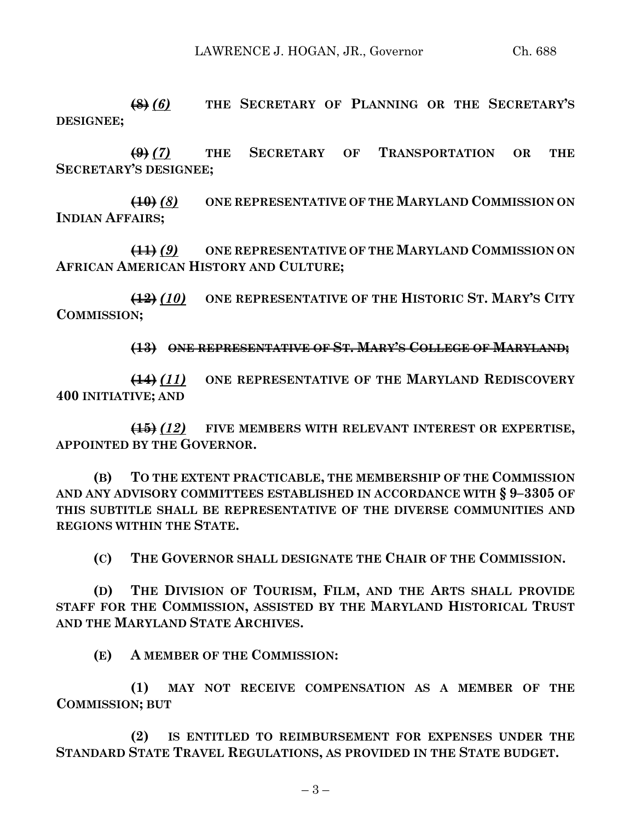**(8)** *(6)* **THE SECRETARY OF PLANNING OR THE SECRETARY'S DESIGNEE;**

**(9)** *(7)* **THE SECRETARY OF TRANSPORTATION OR THE SECRETARY'S DESIGNEE;**

**(10)** *(8)* **ONE REPRESENTATIVE OF THE MARYLAND COMMISSION ON INDIAN AFFAIRS;**

**(11)** *(9)* **ONE REPRESENTATIVE OF THE MARYLAND COMMISSION ON AFRICAN AMERICAN HISTORY AND CULTURE;**

**(12)** *(10)* **ONE REPRESENTATIVE OF THE HISTORIC ST. MARY'S CITY COMMISSION;**

**(13) ONE REPRESENTATIVE OF ST. MARY'S COLLEGE OF MARYLAND;**

**(14)** *(11)* **ONE REPRESENTATIVE OF THE MARYLAND REDISCOVERY 400 INITIATIVE; AND**

**(15)** *(12)* **FIVE MEMBERS WITH RELEVANT INTEREST OR EXPERTISE, APPOINTED BY THE GOVERNOR.**

**(B) TO THE EXTENT PRACTICABLE, THE MEMBERSHIP OF THE COMMISSION AND ANY ADVISORY COMMITTEES ESTABLISHED IN ACCORDANCE WITH § 9–3305 OF THIS SUBTITLE SHALL BE REPRESENTATIVE OF THE DIVERSE COMMUNITIES AND REGIONS WITHIN THE STATE.**

**(C) THE GOVERNOR SHALL DESIGNATE THE CHAIR OF THE COMMISSION.**

**(D) THE DIVISION OF TOURISM, FILM, AND THE ARTS SHALL PROVIDE STAFF FOR THE COMMISSION, ASSISTED BY THE MARYLAND HISTORICAL TRUST AND THE MARYLAND STATE ARCHIVES.**

**(E) A MEMBER OF THE COMMISSION:**

**(1) MAY NOT RECEIVE COMPENSATION AS A MEMBER OF THE COMMISSION; BUT**

**(2) IS ENTITLED TO REIMBURSEMENT FOR EXPENSES UNDER THE STANDARD STATE TRAVEL REGULATIONS, AS PROVIDED IN THE STATE BUDGET.**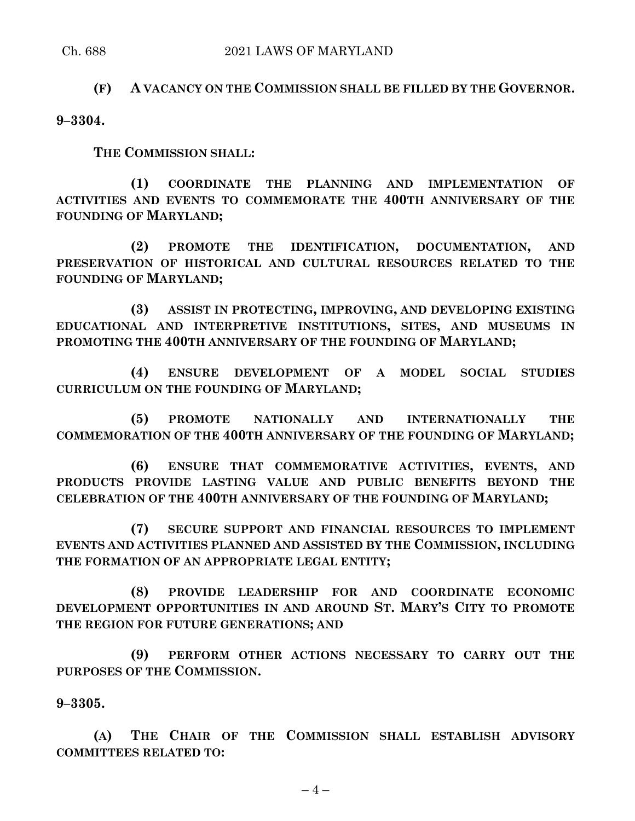# **(F) A VACANCY ON THE COMMISSION SHALL BE FILLED BY THE GOVERNOR.**

**9–3304.**

**THE COMMISSION SHALL:**

**(1) COORDINATE THE PLANNING AND IMPLEMENTATION OF ACTIVITIES AND EVENTS TO COMMEMORATE THE 400TH ANNIVERSARY OF THE FOUNDING OF MARYLAND;**

**(2) PROMOTE THE IDENTIFICATION, DOCUMENTATION, AND PRESERVATION OF HISTORICAL AND CULTURAL RESOURCES RELATED TO THE FOUNDING OF MARYLAND;**

**(3) ASSIST IN PROTECTING, IMPROVING, AND DEVELOPING EXISTING EDUCATIONAL AND INTERPRETIVE INSTITUTIONS, SITES, AND MUSEUMS IN PROMOTING THE 400TH ANNIVERSARY OF THE FOUNDING OF MARYLAND;**

**(4) ENSURE DEVELOPMENT OF A MODEL SOCIAL STUDIES CURRICULUM ON THE FOUNDING OF MARYLAND;**

**(5) PROMOTE NATIONALLY AND INTERNATIONALLY THE COMMEMORATION OF THE 400TH ANNIVERSARY OF THE FOUNDING OF MARYLAND;**

**(6) ENSURE THAT COMMEMORATIVE ACTIVITIES, EVENTS, AND PRODUCTS PROVIDE LASTING VALUE AND PUBLIC BENEFITS BEYOND THE CELEBRATION OF THE 400TH ANNIVERSARY OF THE FOUNDING OF MARYLAND;**

**(7) SECURE SUPPORT AND FINANCIAL RESOURCES TO IMPLEMENT EVENTS AND ACTIVITIES PLANNED AND ASSISTED BY THE COMMISSION, INCLUDING THE FORMATION OF AN APPROPRIATE LEGAL ENTITY;**

**(8) PROVIDE LEADERSHIP FOR AND COORDINATE ECONOMIC DEVELOPMENT OPPORTUNITIES IN AND AROUND ST. MARY'S CITY TO PROMOTE THE REGION FOR FUTURE GENERATIONS; AND**

**(9) PERFORM OTHER ACTIONS NECESSARY TO CARRY OUT THE PURPOSES OF THE COMMISSION.**

**9–3305.**

**(A) THE CHAIR OF THE COMMISSION SHALL ESTABLISH ADVISORY COMMITTEES RELATED TO:**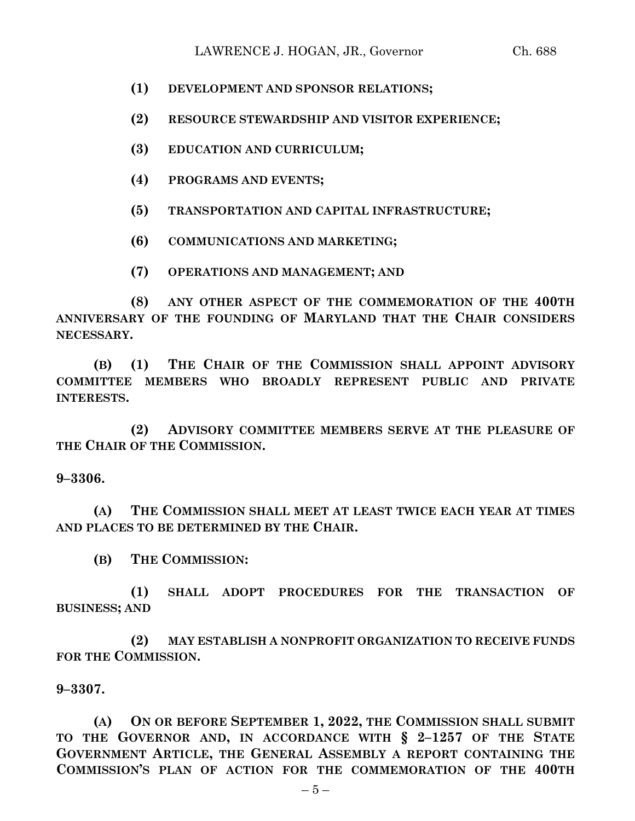- **(1) DEVELOPMENT AND SPONSOR RELATIONS;**
- **(2) RESOURCE STEWARDSHIP AND VISITOR EXPERIENCE;**
- **(3) EDUCATION AND CURRICULUM;**
- **(4) PROGRAMS AND EVENTS;**
- **(5) TRANSPORTATION AND CAPITAL INFRASTRUCTURE;**
- **(6) COMMUNICATIONS AND MARKETING;**
- **(7) OPERATIONS AND MANAGEMENT; AND**

**(8) ANY OTHER ASPECT OF THE COMMEMORATION OF THE 400TH ANNIVERSARY OF THE FOUNDING OF MARYLAND THAT THE CHAIR CONSIDERS NECESSARY.**

**(B) (1) THE CHAIR OF THE COMMISSION SHALL APPOINT ADVISORY COMMITTEE MEMBERS WHO BROADLY REPRESENT PUBLIC AND PRIVATE INTERESTS.**

**(2) ADVISORY COMMITTEE MEMBERS SERVE AT THE PLEASURE OF THE CHAIR OF THE COMMISSION.**

**9–3306.**

**(A) THE COMMISSION SHALL MEET AT LEAST TWICE EACH YEAR AT TIMES AND PLACES TO BE DETERMINED BY THE CHAIR.**

**(B) THE COMMISSION:**

**(1) SHALL ADOPT PROCEDURES FOR THE TRANSACTION OF BUSINESS; AND**

**(2) MAY ESTABLISH A NONPROFIT ORGANIZATION TO RECEIVE FUNDS FOR THE COMMISSION.**

**9–3307.**

**(A) ON OR BEFORE SEPTEMBER 1, 2022, THE COMMISSION SHALL SUBMIT TO THE GOVERNOR AND, IN ACCORDANCE WITH § 2–1257 OF THE STATE GOVERNMENT ARTICLE, THE GENERAL ASSEMBLY A REPORT CONTAINING THE COMMISSION'S PLAN OF ACTION FOR THE COMMEMORATION OF THE 400TH**